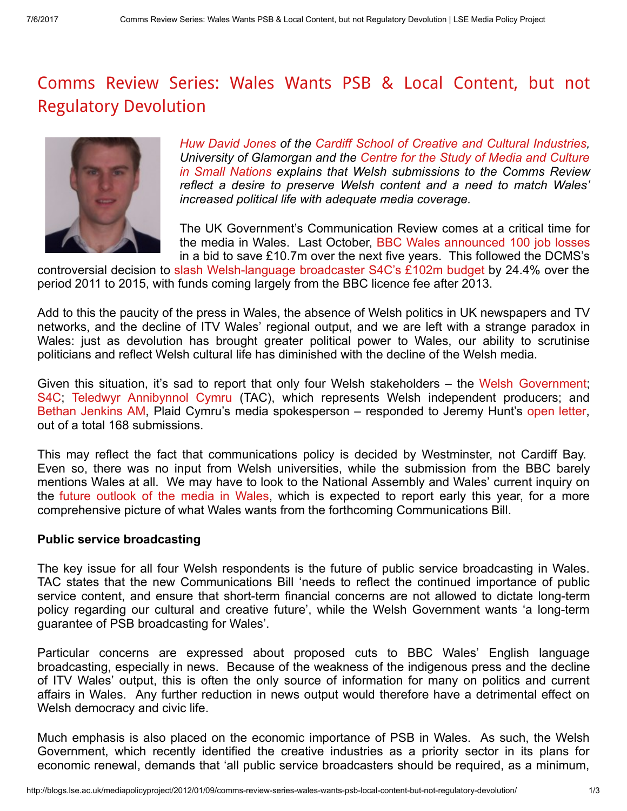## Comms Review Series: Wales Wants PSB & Local Content, but not Regulatory [Devolution](http://blogs.lse.ac.uk/mediapolicyproject/2012/01/09/comms-review-series-wales-wants-psb-local-content-but-not-regulatory-devolution/)



Huw David [Jones](http://staff.glam.ac.uk/users/4110-hjones6) of the Cardiff School of Creative and Cultural [Industries,](http://cci.glam.ac.uk/) University of Glamorgan and the Centre for the Study of Media and Culture in Small Nations explains that Welsh [submissions](http://culture.research.glam.ac.uk/) to the Comms Review reflect a desire to preserve Welsh content and a need to match Wales' increased political life with adequate media coverage.

The UK Government's Communication Review comes at a critical time for the media in Wales. Last October, BBC Wales [announced](http://www.bbc.co.uk/news/uk-wales-15199135) 100 job losses in a bid to save £10.7m over the next five years. This followed the DCMS's

controversial decision to slash [Welsh-language](http://www.guardian.co.uk/media/2010/oct/20/s4c-budget-cuts-bbc) broadcaster S4C's £102m budget by 24.4% over the period 2011 to 2015, with funds coming largely from the BBC licence fee after 2013.

Add to this the paucity of the press in Wales, the absence of Welsh politics in UK newspapers and TV networks, and the decline of ITV Wales' regional output, and we are left with a strange paradox in Wales: just as devolution has brought greater political power to Wales, our ability to scrutinise politicians and reflect Welsh cultural life has diminished with the decline of the Welsh media.

Given this situation, it's sad to report that only four Welsh stakeholders – the Welsh [Government](http://dcms.gov.uk/images/consultation_responses/CR2011-Welsh_Government.pdf); [S4C;](http://dcms.gov.uk/images/consultation_responses/CR2011-S4C.pdf) Teledwyr [Annibynnol](http://dcms.gov.uk/images/consultation_responses/CR2011-TAC_R.pdf) Cymru (TAC), which represents Welsh independent producers; and Bethan [Jenkins](http://blogs.lse.ac.uk/Users/Huw/Documents/dcms.gov.uk/images/consultation_responses/CR2011-Jenkins_Bethan.rtf) AM, Plaid Cymru's media spokesperson – responded to Jeremy Hunt's open [letter,](http://www.culture.gov.uk/images/publications/commsreview-open-letter_160511.pdf) out of a total 168 submissions.

This may reflect the fact that communications policy is decided by Westminster, not Cardiff Bay. Even so, there was no input from Welsh universities, while the submission from the BBC barely mentions Wales at all. We may have to look to the National Assembly and Wales' current inquiry on the future [outlook](http://www.senedd.assemblywales.org/mgCommitteeDetails.aspx?ID=275) of the media in Wales, which is expected to report early this year, for a more comprehensive picture of what Wales wants from the forthcoming Communications Bill.

## Public service broadcasting

The key issue for all four Welsh respondents is the future of public service broadcasting in Wales. TAC states that the new Communications Bill 'needs to reflect the continued importance of public service content, and ensure that short-term financial concerns are not allowed to dictate long-term policy regarding our cultural and creative future', while the Welsh Government wants 'a long-term guarantee of PSB broadcasting for Wales'.

Particular concerns are expressed about proposed cuts to BBC Wales' English language broadcasting, especially in news. Because of the weakness of the indigenous press and the decline of ITV Wales' output, this is often the only source of information for many on politics and current affairs in Wales. Any further reduction in news output would therefore have a detrimental effect on Welsh democracy and civic life.

Much emphasis is also placed on the economic importance of PSB in Wales. As such, the Welsh Government, which recently identified the creative industries as a priority sector in its plans for economic renewal, demands that 'all public service broadcasters should be required, as a minimum,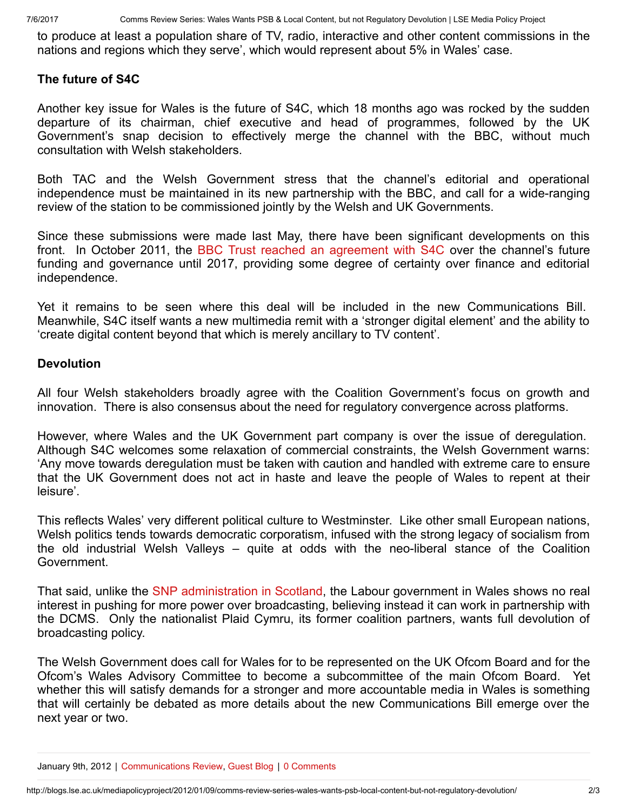to produce at least a population share of TV, radio, interactive and other content commissions in the nations and regions which they serve', which would represent about 5% in Wales' case.

## The future of S4C

Another key issue for Wales is the future of S4C, which 18 months ago was rocked by the sudden departure of its chairman, chief executive and head of programmes, followed by the UK Government's snap decision to effectively merge the channel with the BBC, without much consultation with Welsh stakeholders.

Both TAC and the Welsh Government stress that the channel's editorial and operational independence must be maintained in its new partnership with the BBC, and call for a wide-ranging review of the station to be commissioned jointly by the Welsh and UK Governments.

Since these submissions were made last May, there have been significant developments on this front. In October 2011, the BBC Trust reached an [agreement](http://www.bbc.co.uk/bbctrust/news/press_releases/october/s4c_governance.shtml) with S4C over the channel's future funding and governance until 2017, providing some degree of certainty over finance and editorial independence.

Yet it remains to be seen where this deal will be included in the new Communications Bill. Meanwhile, S4C itself wants a new multimedia remit with a 'stronger digital element' and the ability to 'create digital content beyond that which is merely ancillary to TV content'.

## **Devolution**

All four Welsh stakeholders broadly agree with the Coalition Government's focus on growth and innovation. There is also consensus about the need for regulatory convergence across platforms.

However, where Wales and the UK Government part company is over the issue of deregulation. Although S4C welcomes some relaxation of commercial constraints, the Welsh Government warns: 'Any move towards deregulation must be taken with caution and handled with extreme care to ensure that the UK Government does not act in haste and leave the people of Wales to repent at their leisure'.

This reflects Wales' very different political culture to Westminster. Like other small European nations, Welsh politics tends towards democratic corporatism, infused with the strong legacy of socialism from the old industrial Welsh Valleys – quite at odds with the neo-liberal stance of the Coalition Government.

That said, unlike the SNP [administration](http://blogs.lse.ac.uk/mediapolicyproject/2011/12/20/what-might-the-scotland-bill-mean-for-broadcasting/) in Scotland, the Labour government in Wales shows no real interest in pushing for more power over broadcasting, believing instead it can work in partnership with the DCMS. Only the nationalist Plaid Cymru, its former coalition partners, wants full devolution of broadcasting policy.

The Welsh Government does call for Wales for to be represented on the UK Ofcom Board and for the Ofcom's Wales Advisory Committee to become a subcommittee of the main Ofcom Board. Yet whether this will satisfy demands for a stronger and more accountable media in Wales is something that will certainly be debated as more details about the new Communications Bill emerge over the next year or two.

January 9th, 2012 | [Communications](http://blogs.lse.ac.uk/mediapolicyproject/category/communications-bill/) Review, [Guest](http://blogs.lse.ac.uk/mediapolicyproject/category/guest-blog/) Blog | 0 Comments